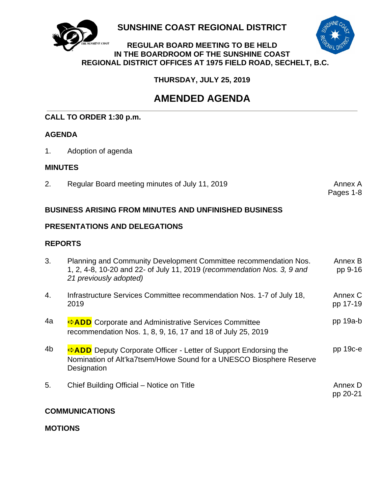

**SUNSHINE COAST REGIONAL DISTRICT** 



## **REGULAR BOARD MEETING TO BE HELD IN THE BOARDROOM OF THE SUNSHINE COAST REGIONAL DISTRICT OFFICES AT 1975 FIELD ROAD, SECHELT, B.C.**

 **THURSDAY, JULY 25, 2019**

## **AMENDED AGENDA**

## **CALL TO ORDER 1:30 p.m.**

## **AGENDA**

1. Adoption of agenda

## **MINUTES**

2. Regular Board meeting minutes of July 11, 2019 **Annex A**nnex A

Pages 1-8

## **BUSINESS ARISING FROM MINUTES AND UNFINISHED BUSINESS**

## **PRESENTATIONS AND DELEGATIONS**

## **REPORTS**

| 3.             | Planning and Community Development Committee recommendation Nos.<br>1, 2, 4-8, 10-20 and 22- of July 11, 2019 (recommendation Nos. 3, 9 and<br>21 previously adopted) | Annex B<br>pp 9-16  |
|----------------|-----------------------------------------------------------------------------------------------------------------------------------------------------------------------|---------------------|
| 4.             | Infrastructure Services Committee recommendation Nos. 1-7 of July 18,<br>2019                                                                                         | Annex C<br>pp 17-19 |
| 4a             | <b>ADD</b> Corporate and Administrative Services Committee<br>recommendation Nos. 1, 8, 9, 16, 17 and 18 of July 25, 2019                                             | $pp$ 19a-b          |
| 4 <sub>b</sub> | ADD Deputy Corporate Officer - Letter of Support Endorsing the<br>Nomination of Alt'ka7tsem/Howe Sound for a UNESCO Biosphere Reserve<br>Designation                  | $pp$ 19 $c$ -e      |
| 5.             | Chief Building Official – Notice on Title                                                                                                                             | Annex D<br>pp 20-21 |

## **COMMUNICATIONS**

**MOTIONS**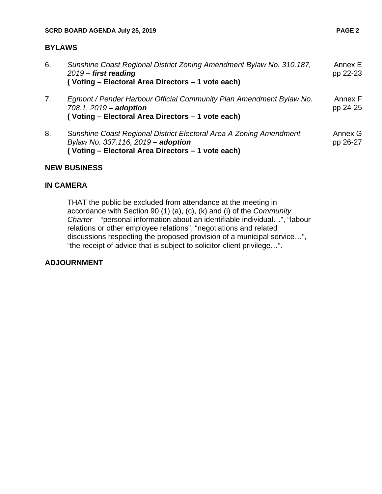## **BYLAWS**

| 6. | Sunshine Coast Regional District Zoning Amendment Bylaw No. 310.187,<br>$2019$ – first reading<br>(Voting - Electoral Area Directors - 1 vote each)           | Annex E<br>pp 22-23 |
|----|---------------------------------------------------------------------------------------------------------------------------------------------------------------|---------------------|
| 7. | Egmont / Pender Harbour Official Community Plan Amendment Bylaw No.<br>708.1, 2019 - adoption<br>(Voting - Electoral Area Directors - 1 vote each)            | Annex F<br>pp 24-25 |
| 8. | Sunshine Coast Regional District Electoral Area A Zoning Amendment<br>Bylaw No. 337.116, 2019 - adoption<br>(Voting - Electoral Area Directors - 1 vote each) | Annex G<br>pp 26-27 |

## **NEW BUSINESS**

## **IN CAMERA**

 THAT the public be excluded from attendance at the meeting in accordance with Section 90 (1) (a), (c), (k) and (i) of the *Community Charter* – "personal information about an identifiable individual…", "labour relations or other employee relations", "negotiations and related discussions respecting the proposed provision of a municipal service…", "the receipt of advice that is subject to solicitor-client privilege…".

### **ADJOURNMENT**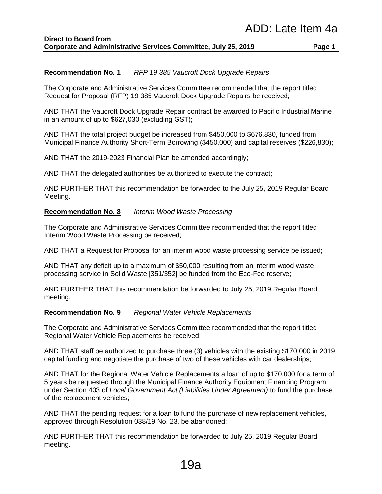#### **Recommendation No. 1** *RFP 19 385 Vaucroft Dock Upgrade Repairs*

The Corporate and Administrative Services Committee recommended that the report titled Request for Proposal (RFP) 19 385 Vaucroft Dock Upgrade Repairs be received;

AND THAT the Vaucroft Dock Upgrade Repair contract be awarded to Pacific Industrial Marine in an amount of up to \$627,030 (excluding GST);

AND THAT the total project budget be increased from \$450,000 to \$676,830, funded from Municipal Finance Authority Short-Term Borrowing (\$450,000) and capital reserves (\$226,830);

AND THAT the 2019-2023 Financial Plan be amended accordingly;

AND THAT the delegated authorities be authorized to execute the contract;

AND FURTHER THAT this recommendation be forwarded to the July 25, 2019 Regular Board Meeting.

#### **Recommendation No. 8** *Interim Wood Waste Processing*

The Corporate and Administrative Services Committee recommended that the report titled Interim Wood Waste Processing be received;

AND THAT a Request for Proposal for an interim wood waste processing service be issued;

AND THAT any deficit up to a maximum of \$50,000 resulting from an interim wood waste processing service in Solid Waste [351/352] be funded from the Eco-Fee reserve;

AND FURTHER THAT this recommendation be forwarded to July 25, 2019 Regular Board meeting.

#### **Recommendation No. 9** *Regional Water Vehicle Replacements*

The Corporate and Administrative Services Committee recommended that the report titled Regional Water Vehicle Replacements be received;

AND THAT staff be authorized to purchase three (3) vehicles with the existing \$170,000 in 2019 capital funding and negotiate the purchase of two of these vehicles with car dealerships;

AND THAT for the Regional Water Vehicle Replacements a loan of up to \$170,000 for a term of 5 years be requested through the Municipal Finance Authority Equipment Financing Program under Section 403 of *Local Government Act (Liabilities Under Agreement)* to fund the purchase of the replacement vehicles;

AND THAT the pending request for a loan to fund the purchase of new replacement vehicles, approved through Resolution 038/19 No. 23, be abandoned;

AND FURTHER THAT this recommendation be forwarded to July 25, 2019 Regular Board meeting.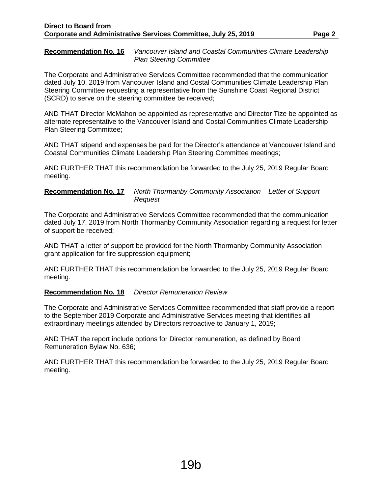**Recommendation No. 16** *Vancouver Island and Coastal Communities Climate Leadership Plan Steering Committee*

The Corporate and Administrative Services Committee recommended that the communication dated July 10, 2019 from Vancouver Island and Costal Communities Climate Leadership Plan Steering Committee requesting a representative from the Sunshine Coast Regional District (SCRD) to serve on the steering committee be received;

AND THAT Director McMahon be appointed as representative and Director Tize be appointed as alternate representative to the Vancouver Island and Costal Communities Climate Leadership Plan Steering Committee;

AND THAT stipend and expenses be paid for the Director's attendance at Vancouver Island and Coastal Communities Climate Leadership Plan Steering Committee meetings;

AND FURTHER THAT this recommendation be forwarded to the July 25, 2019 Regular Board meeting.

#### **Recommendation No. 17** *North Thormanby Community Association – Letter of Support Request*

The Corporate and Administrative Services Committee recommended that the communication dated July 17, 2019 from North Thormanby Community Association regarding a request for letter of support be received;

AND THAT a letter of support be provided for the North Thormanby Community Association grant application for fire suppression equipment;

AND FURTHER THAT this recommendation be forwarded to the July 25, 2019 Regular Board meeting.

#### **Recommendation No. 18** *Director Remuneration Review*

The Corporate and Administrative Services Committee recommended that staff provide a report to the September 2019 Corporate and Administrative Services meeting that identifies all extraordinary meetings attended by Directors retroactive to January 1, 2019;

AND THAT the report include options for Director remuneration, as defined by Board Remuneration Bylaw No. 636;

AND FURTHER THAT this recommendation be forwarded to the July 25, 2019 Regular Board meeting.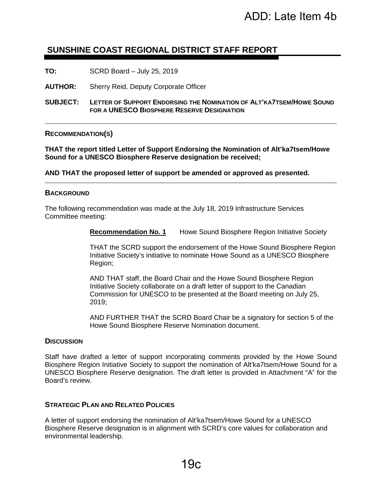## **SUNSHINE COAST REGIONAL DISTRICT STAFF REPORT**

**TO:** SCRD Board – July 25, 2019

**AUTHOR:** Sherry Reid, Deputy Corporate Officer

**SUBJECT: LETTER OF SUPPORT ENDORSING THE NOMINATION OF ALT'KA7TSEM/HOWE SOUND FOR A UNESCO BIOSPHERE RESERVE DESIGNATION**

**RECOMMENDATION(S)** 

**THAT the report titled Letter of Support Endorsing the Nomination of Alt'ka7tsem/Howe Sound for a UNESCO Biosphere Reserve designation be received;**

**AND THAT the proposed letter of support be amended or approved as presented.** 

#### **BACKGROUND**

The following recommendation was made at the July 18, 2019 Infrastructure Services Committee meeting:

**Recommendation No. 1** Howe Sound Biosphere Region Initiative Society

THAT the SCRD support the endorsement of the Howe Sound Biosphere Region Initiative Society's initiative to nominate Howe Sound as a UNESCO Biosphere Region;

AND THAT staff, the Board Chair and the Howe Sound Biosphere Region Initiative Society collaborate on a draft letter of support to the Canadian Commission for UNESCO to be presented at the Board meeting on July 25, 2019;

AND FURTHER THAT the SCRD Board Chair be a signatory for section 5 of the Howe Sound Biosphere Reserve Nomination document.

#### **DISCUSSION**

Staff have drafted a letter of support incorporating comments provided by the Howe Sound Biosphere Region Initiative Society to support the nomination of Alt'ka7tsem/Howe Sound for a UNESCO Biosphere Reserve designation. The draft letter is provided in Attachment "A" for the Board's review.

#### **STRATEGIC PLAN AND RELATED POLICIES**

A letter of support endorsing the nomination of Alt'ka7tsem/Howe Sound for a UNESCO Biosphere Reserve designation is in alignment with SCRD's core values for collaboration and environmental leadership.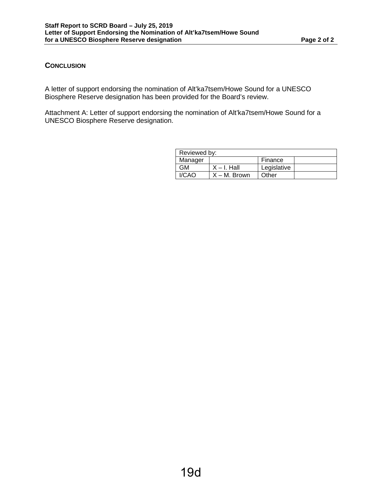#### **CONCLUSION**

A letter of support endorsing the nomination of Alt'ka7tsem/Howe Sound for a UNESCO Biosphere Reserve designation has been provided for the Board's review.

Attachment A: Letter of support endorsing the nomination of Alt'ka7tsem/Howe Sound for a UNESCO Biosphere Reserve designation.

| Reviewed by: |                 |             |  |  |  |
|--------------|-----------------|-------------|--|--|--|
| Manager      |                 | Finance     |  |  |  |
| GМ           | $X - I$ . Hall  | Legislative |  |  |  |
| I/CAO        | $X - M$ . Brown | Other       |  |  |  |